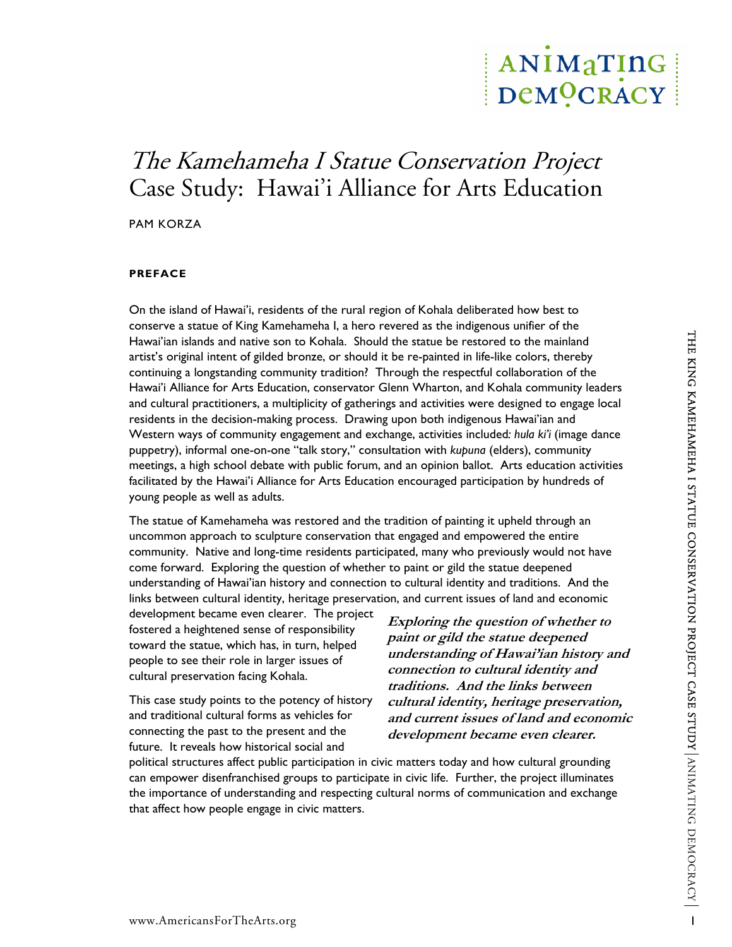# ANIMATING DeMOCRACY

# The Kamehameha I Statue Conservation Project Case Study: Hawai'i Alliance for Arts Education

PAM KORZA

#### **PREFACE**

On the island of Hawai'i, residents of the rural region of Kohala deliberated how best to conserve a statue of King Kamehameha I, a hero revered as the indigenous unifier of the Hawai'ian islands and native son to Kohala. Should the statue be restored to the mainland artist's original intent of gilded bronze, or should it be re-painted in life-like colors, thereby continuing a longstanding community tradition? Through the respectful collaboration of the Hawai'i Alliance for Arts Education, conservator Glenn Wharton, and Kohala community leaders and cultural practitioners, a multiplicity of gatherings and activities were designed to engage local residents in the decision-making process. Drawing upon both indigenous Hawai'ian and Western ways of community engagement and exchange, activities included*: hula ki'i* (image dance puppetry), informal one-on-one "talk story," consultation with *kupuna* (elders), community meetings, a high school debate with public forum, and an opinion ballot. Arts education activities facilitated by the Hawai'i Alliance for Arts Education encouraged participation by hundreds of young people as well as adults.

The statue of Kamehameha was restored and the tradition of painting it upheld through an uncommon approach to sculpture conservation that engaged and empowered the entire community. Native and long-time residents participated, many who previously would not have come forward. Exploring the question of whether to paint or gild the statue deepened understanding of Hawai'ian history and connection to cultural identity and traditions. And the links between cultural identity, heritage preservation, and current issues of land and economic

development became even clearer. The project fostered a heightened sense of responsibility toward the statue, which has, in turn, helped people to see their role in larger issues of cultural preservation facing Kohala.

This case study points to the potency of history and traditional cultural forms as vehicles for connecting the past to the present and the future. It reveals how historical social and

**Exploring the question of whether to paint or gild the statue deepened understanding of Hawai'ian history and connection to cultural identity and traditions. And the links between cultural identity, heritage preservation, and current issues of land and economic development became even clearer.** 

political structures affect public participation in civic matters today and how cultural grounding can empower disenfranchised groups to participate in civic life. Further, the project illuminates the importance of understanding and respecting cultural norms of communication and exchange that affect how people engage in civic matters.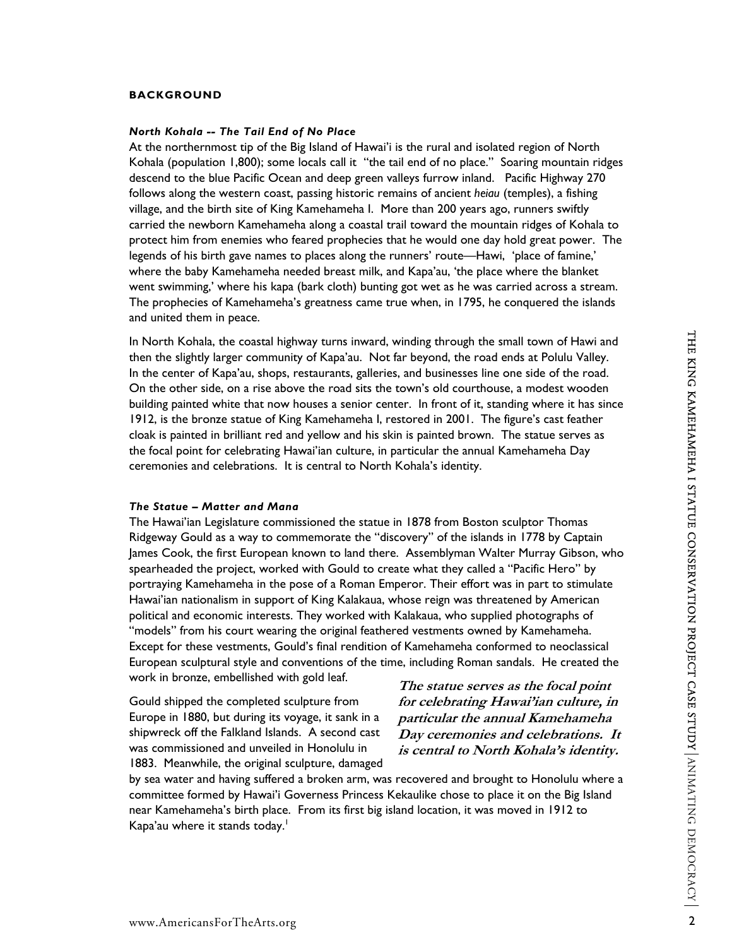#### **BACKGROUND**

*North Kohala -- The Tail End of No Place*<br>At the northernmost tip of the Big Island of Hawai'i is the rural and isolated region of North Kohala (population 1,800); some locals call it "the tail end of no place." Soaring mountain ridges descend to the blue Pacific Ocean and deep green valleys furrow inland. Pacific Highway 270 follows along the western coast, passing historic remains of ancient *heiau* (temples), a fishing village, and the birth site of King Kamehameha I. More than 200 years ago, runners swiftly carried the newborn Kamehameha along a coastal trail toward the mountain ridges of Kohala to protect him from enemies who feared prophecies that he would one day hold great power. The legends of his birth gave names to places along the runners' route—Hawi, 'place of famine,' where the baby Kamehameha needed breast milk, and Kapa'au, 'the place where the blanket went swimming,' where his kapa (bark cloth) bunting got wet as he was carried across a stream. The prophecies of Kamehameha's greatness came true when, in 1795, he conquered the islands and united them in peace.

In North Kohala, the coastal highway turns inward, winding through the small town of Hawi and then the slightly larger community of Kapa'au. Not far beyond, the road ends at Polulu Valley. In the center of Kapa'au, shops, restaurants, galleries, and businesses line one side of the road. On the other side, on a rise above the road sits the town's old courthouse, a modest wooden building painted white that now houses a senior center. In front of it, standing where it has since 1912, is the bronze statue of King Kamehameha I, restored in 2001. The figure's cast feather cloak is painted in brilliant red and yellow and his skin is painted brown. The statue serves as the focal point for celebrating Hawai'ian culture, in particular the annual Kamehameha Day ceremonies and celebrations. It is central to North Kohala's identity.

#### *The Statue – Matter and Mana*

The Hawai'ian Legislature commissioned the statue in 1878 from Boston sculptor Thomas Ridgeway Gould as a way to commemorate the "discovery" of the islands in 1778 by Captain James Cook, the first European known to land there. Assemblyman Walter Murray Gibson, who spearheaded the project, worked with Gould to create what they called a "Pacific Hero" by portraying Kamehameha in the pose of a Roman Emperor. Their effort was in part to stimulate Hawai'ian nationalism in support of King Kalakaua, whose reign was threatened by American political and economic interests. They worked with Kalakaua, who supplied photographs of "models" from his court wearing the original feathered vestments owned by Kamehameha. Except for these vestments, Gould's final rendition of Kamehameha conformed to neoclassical European sculptural style and conventions of the time, including Roman sandals. He created the work in bronze, embellished with gold leaf.

Gould shipped the completed sculpture from Europe in 1880, but during its voyage, it sank in a shipwreck off the Falkland Islands. A second cast was commissioned and unveiled in Honolulu in 1883. Meanwhile, the original sculpture, damaged

**The statue serves as the focal point for celebrating Hawai'ian culture, in particular the annual Kamehameha Day ceremonies and celebrations. I t is central to North Kohala's identity.** 

by sea water and having suffered a broken arm, was recovered and brought to Honolulu where a committee formed by Hawai'i Governess Princess Kekaulike chose to place it on the Big Island near Kamehameha's birth place. From its first big island location, it was moved in 1912 to Kapa'au where it stands today. $^\mathsf{I}$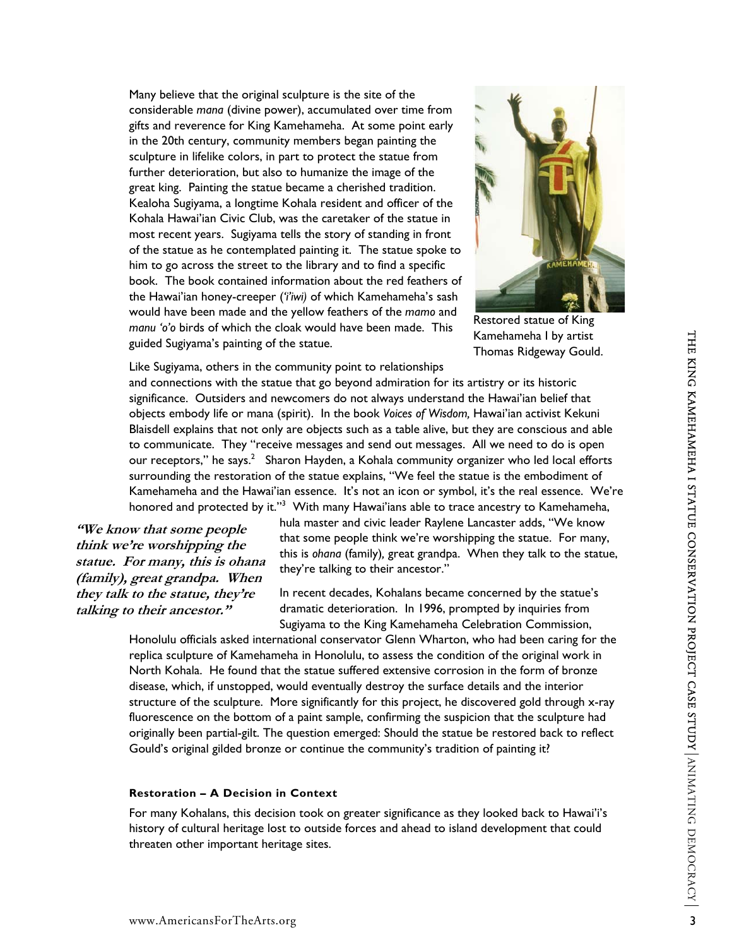Many believe that the original sculpture is the site of the considerable *mana* (divine power), accumulated over time from gifts and reverence for King Kamehameha. At some point early in the 20th century, community members began painting the sculpture in lifelike colors, in part to protect the statue from further deterioration, but also to humanize the image of the great king. Painting the statue became a cherished tradition. Kealoha Sugiyama, a longtime Kohala resident and officer of the Kohala Hawai'ian Civic Club, was the caretaker of the statue in most recent years. Sugiyama tells the story of standing in front of the statue as he contemplated painting it. The statue spoke to him to go across the street to the library and to find a specific book. The book contained information about the red feathers of the Hawai'ian honey-creeper (*'i'iwi)* of which Kamehameha's sash would have been made and the yellow feathers of the *mamo* and *manu 'o'o* birds of which the cloak would have been made. This guided Sugiyama's painting of the statue.



Restored statue of King Kamehameha I by artist Thomas Ridgeway Gould.

Like Sugiyama, others in the community point to relationships

and connections with the statue that go beyond admiration for its artistry or its historic significance. Outsiders and newcomers do not always understand the Hawai'ian belief that objects embody life or mana (spirit). In the book *Voices of Wisdom,* Hawai'ian activist Kekuni Blaisdell explains that not only are objects such as a table alive, but they are conscious and able to communicate. They "receive messages and send out messages. All we need to do is open our receptors," he says.<sup>2</sup> Sharon Hayden, a Kohala community organizer who led local efforts surrounding the restoration of the statue explains, "We feel the statue is the embodiment of Kamehameha and the Hawai'ian essence. It's not an icon or symbol, it's the real essence. We're honored and protected by it."<sup>[3](#page-22-2)</sup> With many Hawai'ians able to trace ancestry to Kamehameha,

**"We know that some people think we're worshipping the statue. For many, this is ohana (family), great grandpa. When they talk to the statue, they're talking to their ancestor."**

hula master and civic leader Raylene Lancaster adds, "We know that some people think we're worshipping the statue. For many, this is *ohana* (family)*,* great grandpa. When they talk to the statue, they're talking to their ancestor."

In recent decades, Kohalans became concerned by the statue's dramatic deterioration. In 1996, prompted by inquiries from Sugiyama to the King Kamehameha Celebration Commission,

Honolulu officials asked international conservator Glenn Wharton, who had been caring for the replica sculpture of Kamehameha in Honolulu, to assess the condition of the original work in North Kohala. He found that the statue suffered extensive corrosion in the form of bronze disease, which, if unstopped, would eventually destroy the surface details and the interior structure of the sculpture. More significantly for this project, he discovered gold through x-ray fluorescence on the bottom of a paint sample, confirming the suspicion that the sculpture had originally been partial-gilt. The question emerged: Should the statue be restored back to reflect Gould's original gilded bronze or continue the community's tradition of painting it?

#### **Restoration – A Decision in Context**

For many Kohalans, this decision took on greater significance as they looked back to Hawai'i's history of cultural heritage lost to outside forces and ahead to island development that could threaten other important heritage sites.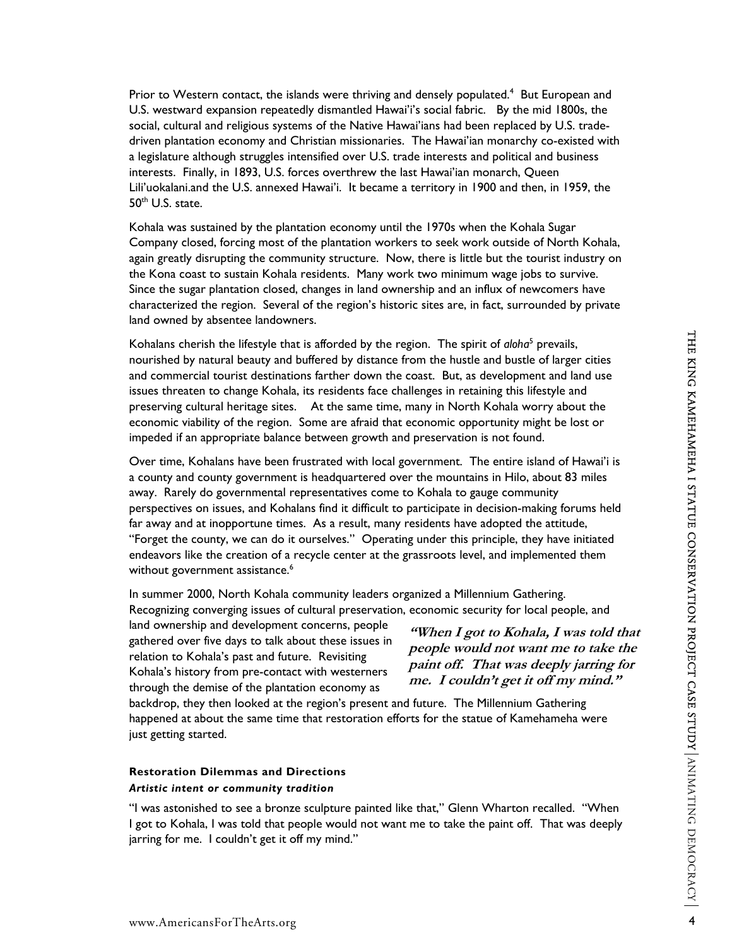Priorto Western contact, the islands were thriving and densely populated.<sup>4</sup> But European and U.S. westward expansion repeatedly dismantled Hawai'i's social fabric. By the mid 1800s, the social, cultural and religious systems of the Native Hawai'ians had been replaced by U.S. tradedriven plantation economy and Christian missionaries. The Hawai'ian monarchy co-existed with a legislature although struggles intensified over U.S. trade interests and political and business interests. Finally, in 1893, U.S. forces overthrew the last Hawai'ian monarch, Queen Lili'uokalani.and the U.S. annexed Hawai'i. It became a territory in 1900 and then, in 1959, the 50<sup>th</sup> U.S. state.

Kohala was sustained by the plantation economy until the 1970s when the Kohala Sugar Company closed, forcing most of the plantation workers to seek work outside of North Kohala, again greatly disrupting the community structure. Now, there is little but the tourist industry on the Kona coast to sustain Kohala residents. Many work two minimum wage jobs to survive. Since the sugar plantation closed, changes in land ownership and an influx of newcomers have characterized the region. Several of the region's historic sites are, in fact, surrounded by private land owned by absentee landowners.

Kohalans cherish the lifestyle that is afforded by the region. The spirit of *aloha*<sup>[5](#page-22-4)</sup> prevails, nourished by natural beauty and buffered by distance from the hustle and bustle of larger cities and commercial tourist destinations farther down the coast. But, as development and land use issues threaten to change Kohala, its residents face challenges in retaining this lifestyle and preserving cultural heritage sites. At the same time, many in North Kohala worry about the economic viability of the region. Some are afraid that economic opportunity might be lost or impeded if an appropriate balance between growth and preservation is not found.

Over time, Kohalans have been frustrated with local government. The entire island of Hawai'i is a county and county government is headquartered over the mountains in Hilo, about 83 miles away. Rarely do governmental representatives come to Kohala to gauge community perspectives on issues, and Kohalans find it difficult to participate in decision-making forums held far away and at inopportune times. As a result, many residents have adopted the attitude, "Forget the county, we can do it ourselves." Operating under this principle, they have initiated endeavors like the creation of a recycle center at the grassroots level, and implemented them without government assistance.<sup>6</sup>

In summer 2000, North Kohala community leaders organized a Millennium Gathering. Recognizing converging issues of cultural preservation, economic security for local people, and

land ownership and development concerns, people gathered over five days to talk about these issues in relation to Kohala's past and future. Revisiting Kohala's history from pre-contact with westerners through the demise of the plantation economy as

**"When I got to Kohala, I was told that people would not want me to take the paint off. That was deeply jarring for me. I couldn't get it off my mind."**

backdrop, they then looked at the region's present and future. The Millennium Gathering happened at about the same time that restoration efforts for the statue of Kamehameha were just getting started.

# **Restoration Dilemmas and Directions**

# *Artistic intent or community tradition*

"I was astonished to see a bronze sculpture painted like that," Glenn Wharton recalled. "When I got to Kohala, I was told that people would not want me to take the paint off. That was deeply jarring for me. I couldn't get it off my mind."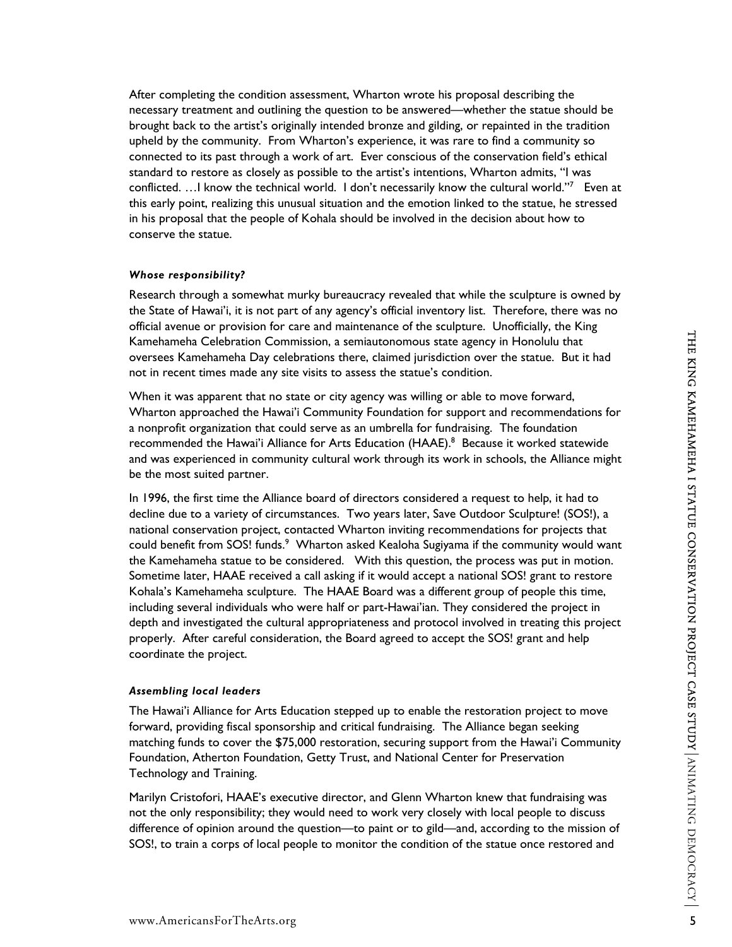After completing the condition assessment, Wharton wrote his proposal describing the necessary treatment and outlining the question to be answered—whether the statue should be brought back to the artist's originally intended bronze and gilding, or repainted in the tradition upheld by the community. From Wharton's experience, it was rare to find a community so connected to its past through a work of art. Ever conscious of the conservation field's ethical standard to restore as closely as possible to the artist's intentions, Wharton admits, "I was conflicted. ... I know the technical world. I don't necessarily know the cultural world."<sup>[7](#page-22-6)</sup> Even at this early point, realizing this unusual situation and the emotion linked to the statue, he stressed in his proposal that the people of Kohala should be involved in the decision about how to conserve the statue.

### *Whose responsibility?*

Research through a somewhat murky bureaucracy revealed that while the sculpture is owned by the State of Hawai'i, it is not part of any agency's official inventory list. Therefore, there was no official avenue or provision for care and maintenance of the sculpture. Unofficially, the King Kamehameha Celebration Commission, a semiautonomous state agency in Honolulu that oversees Kamehameha Day celebrations there, claimed jurisdiction over the statue. But it had not in recent times made any site visits to assess the statue's condition.

When it was apparent that no state or city agency was willing or able to move forward, Wharton approached the Hawai'i Community Foundation for support and recommendations for a nonprofit organization that could serve as an umbrella for fundraising. The foundation recommended the Hawai'i Alliance for Arts Education (HAAE).<sup>8</sup> Because it worked statewide and was experienced in community cultural work through its work in schools, the Alliance might be the most suited partner.

In 1996, the first time the Alliance board of directors considered a request to help, it had to decline due to a variety of circumstances. Two years later, Save Outdoor Sculpture! (SOS!), a national conservation project, contacted Wharton inviting recommendations for projects that could benefit from SOS! funds.<sup>[9](#page-22-8)</sup> Wharton asked Kealoha Sugiyama if the community would want the Kamehameha statue to be considered. With this question, the process was put in motion. Sometime later, HAAE received a call asking if it would accept a national SOS! grant to restore Kohala's Kamehameha sculpture. The HAAE Board was a different group of people this time, including several individuals who were half or part-Hawai'ian. They considered the project in depth and investigated the cultural appropriateness and protocol involved in treating this project properly. After careful consideration, the Board agreed to accept the SOS! grant and help coordinate the project.

### *Assembling local leaders*

The Hawai'i Alliance for Arts Education stepped up to enable the restoration project to move forward, providing fiscal sponsorship and critical fundraising. The Alliance began seeking matching funds to cover the \$75,000 restoration, securing support from the Hawai'i Community Foundation, Atherton Foundation, Getty Trust, and National Center for Preservation Technology and Training.

Marilyn Cristofori, HAAE's executive director, and Glenn Wharton knew that fundraising was not the only responsibility; they would need to work very closely with local people to discuss difference of opinion around the question—to paint or to gild—and, according to the mission of SOS!, to train a corps of local people to monitor the condition of the statue once restored and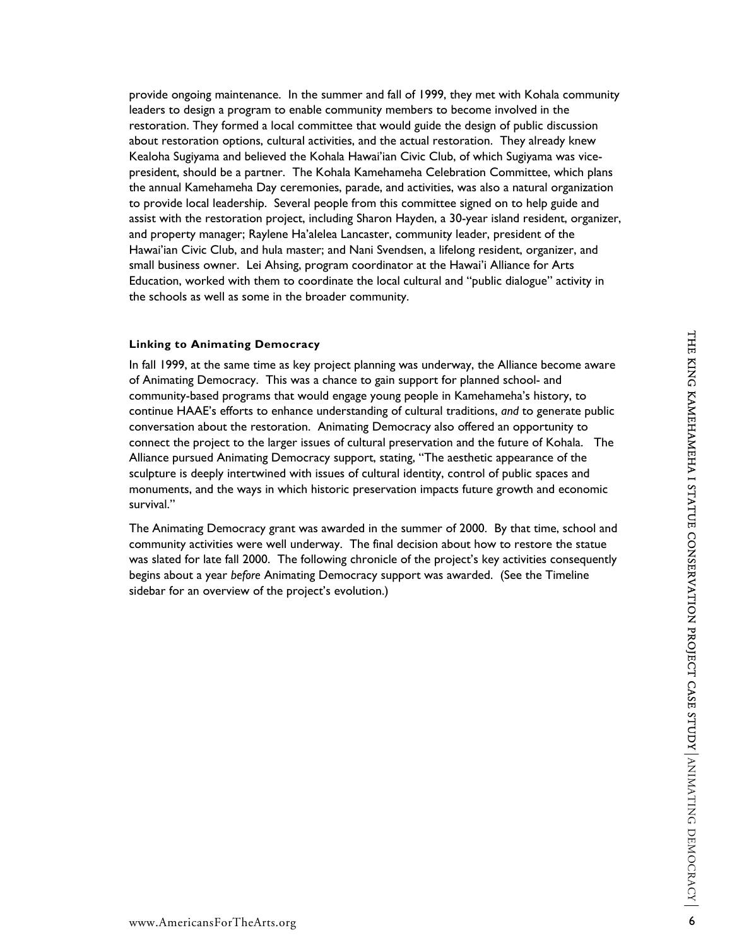provide ongoing maintenance. In the summer and fall of 1999, they met with Kohala community leaders to design a program to enable community members to become involved in the restoration. They formed a local committee that would guide the design of public discussion about restoration options, cultural activities, and the actual restoration. They already knew Kealoha Sugiyama and believed the Kohala Hawai'ian Civic Club, of which Sugiyama was vicepresident, should be a partner. The Kohala Kamehameha Celebration Committee, which plans the annual Kamehameha Day ceremonies, parade, and activities, was also a natural organization to provide local leadership. Several people from this committee signed on to help guide and assist with the restoration project, including Sharon Hayden, a 30-year island resident, organizer, and property manager; Raylene Ha'alelea Lancaster, community leader, president of the Hawai'ian Civic Club, and hula master; and Nani Svendsen, a lifelong resident, organizer, and small business owner. Lei Ahsing, program coordinator at the Hawai'i Alliance for Arts Education, worked with them to coordinate the local cultural and "public dialogue" activity in the schools as well as some in the broader community.

#### **Linking to Animating Democracy**

In fall 1999, at the same time as key project planning was underway, the Alliance become aware of Animating Democracy. This was a chance to gain support for planned school- and community-based programs that would engage young people in Kamehameha's history, to continue HAAE's efforts to enhance understanding of cultural traditions, *and* to generate public conversation about the restoration. Animating Democracy also offered an opportunity to connect the project to the larger issues of cultural preservation and the future of Kohala. The Alliance pursued Animating Democracy support, stating, "The aesthetic appearance of the sculpture is deeply intertwined with issues of cultural identity, control of public spaces and monuments, and the ways in which historic preservation impacts future growth and economic survival."

The Animating Democracy grant was awarded in the summer of 2000. By that time, school and community activities were well underway. The final decision about how to restore the statue was slated for late fall 2000. The following chronicle of the project's key activities consequently begins about a year *before* Animating Democracy support was awarded. (See the Timeline sidebar for an overview of the project's evolution.)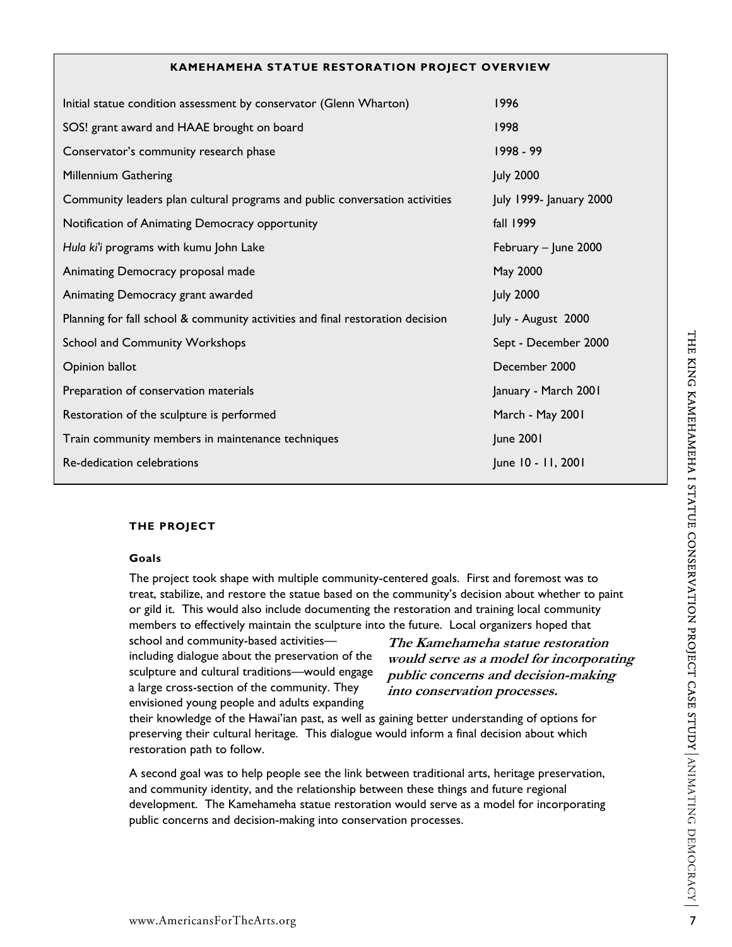#### **KAMEHAMEHA STATUE RESTORATION PROJECT OVERVIEW**

| Initial statue condition assessment by conservator (Glenn Wharton)             | 1996                    |
|--------------------------------------------------------------------------------|-------------------------|
| SOS! grant award and HAAE brought on board                                     | 1998                    |
| Conservator's community research phase                                         | 1998 - 99               |
| Millennium Gathering                                                           | <b>July 2000</b>        |
| Community leaders plan cultural programs and public conversation activities    | July 1999- January 2000 |
| Notification of Animating Democracy opportunity                                | fall 1999               |
| Hula ki'i programs with kumu John Lake                                         | February - June 2000    |
| Animating Democracy proposal made                                              | May 2000                |
| Animating Democracy grant awarded                                              | <b>July 2000</b>        |
| Planning for fall school & community activities and final restoration decision | July - August 2000      |
| School and Community Workshops                                                 | Sept - December 2000    |
| Opinion ballot                                                                 | December 2000           |
| Preparation of conservation materials                                          | January - March 2001    |
| Restoration of the sculpture is performed                                      | March - May 2001        |
| Train community members in maintenance techniques                              | June 2001               |
| Re-dedication celebrations                                                     | June 10 - 11, 2001      |
|                                                                                |                         |

### **THE PROJECT**

#### **Goals**

The project took shape with multiple community-centered goals. First and foremost was to treat, stabilize, and restore the statue based on the community's decision about whether to paint or gild it. This would also include documenting the restoration and training local community members to effectively maintain the sculpture into the future. Local organizers hoped that

school and community-based activities including dialogue about the preservation of the sculpture and cultural traditions—would engage a large cross-section of the community. They envisioned young people and adults expanding

**The Kamehameha statue restoration would serve as a model for incorporating public concerns and decision-making into conservation processes.** 

their knowledge of the Hawai'ian past, as well as gaining better understanding of options for preserving their cultural heritage. This dialogue would inform a final decision about which restoration path to follow.

A second goal was to help people see the link between traditional arts, heritage preservation, and community identity, and the relationship between these things and future regional development. The Kamehameha statue restoration would serve as a model for incorporating public concerns and decision-making into conservation processes.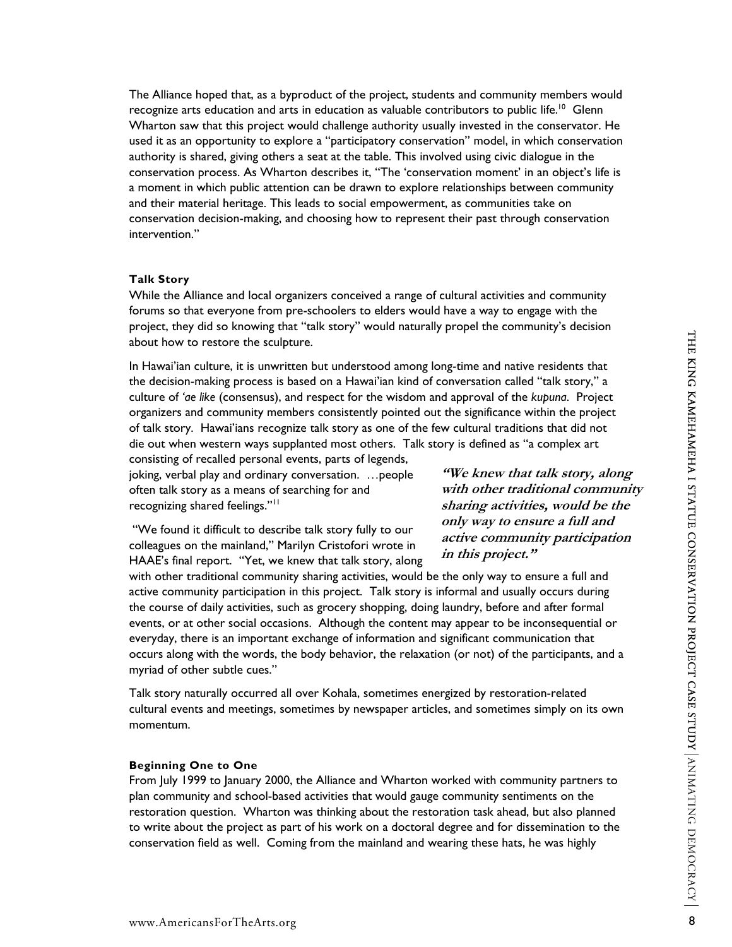The Alliance hoped that, as a byproduct of the project, students and community members would recognize arts education and arts in education as valuable contributors to public life.<sup>10</sup> Glenn Wharton saw that this project would challenge authority usually invested in the conservator. He used it as an opportunity to explore a "participatory conservation" model, in which conservation authority is shared, giving others a seat at the table. This involved using civic dialogue in the conservation process. As Wharton describes it, "The 'conservation moment' in an object's life is a moment in which public attention can be drawn to explore relationships between community and their material heritage. This leads to social empowerment, as communities take on conservation decision-making, and choosing how to represent their past through conservation intervention."

#### **Talk Story**

While the Alliance and local organizers conceived a range of cultural activities and community forums so that everyone from pre-schoolers to elders would have a way to engage with the project, they did so knowing that "talk story" would naturally propel the community's decision about how to restore the sculpture.

In Hawai'ian culture, it is unwritten but understood among long-time and native residents that the decision-making process is based on a Hawai'ian kind of conversation called "talk story," a culture of *'ae like* (consensus), and respect for the wisdom and approval of the *kupuna*. Project organizers and community members consistently pointed out the significance within the project of talk story. Hawai'ians recognize talk story as one of the few cultural traditions that did not die out when western ways supplanted most others. Talk story is defined as "a complex art

consisting of recalled personal events, parts of legends, joking, verbal play and ordinary conversation. …people often talk story as a means of searching for and recognizing shared feelings."<sup>11</sup>

**"We knew that talk story, along with other traditional community sharing activities, would be the only way to ensure a full and active community participation in this project."** 

 "We found it difficult to describe talk story fully to our colleagues on the mainland," Marilyn Cristofori wrote in HAAE's final report. "Yet, we knew that talk story, along

with other traditional community sharing activities, would be the only way to ensure a full and active community participation in this project. Talk story is informal and usually occurs during the course of daily activities, such as grocery shopping, doing laundry, before and after formal events, or at other social occasions. Although the content may appear to be inconsequential or everyday, there is an important exchange of information and significant communication that occurs along with the words, the body behavior, the relaxation (or not) of the participants, and a myriad of other subtle cues."

Talk story naturally occurred all over Kohala, sometimes energized by restoration-related cultural events and meetings, sometimes by newspaper articles, and sometimes simply on its own momentum.

### **Beginning One to One**

From July 1999 to January 2000, the Alliance and Wharton worked with community partners to plan community and school-based activities that would gauge community sentiments on the restoration question. Wharton was thinking about the restoration task ahead, but also planned to write about the project as part of his work on a doctoral degree and for dissemination to the conservation field as well. Coming from the mainland and wearing these hats, he was highly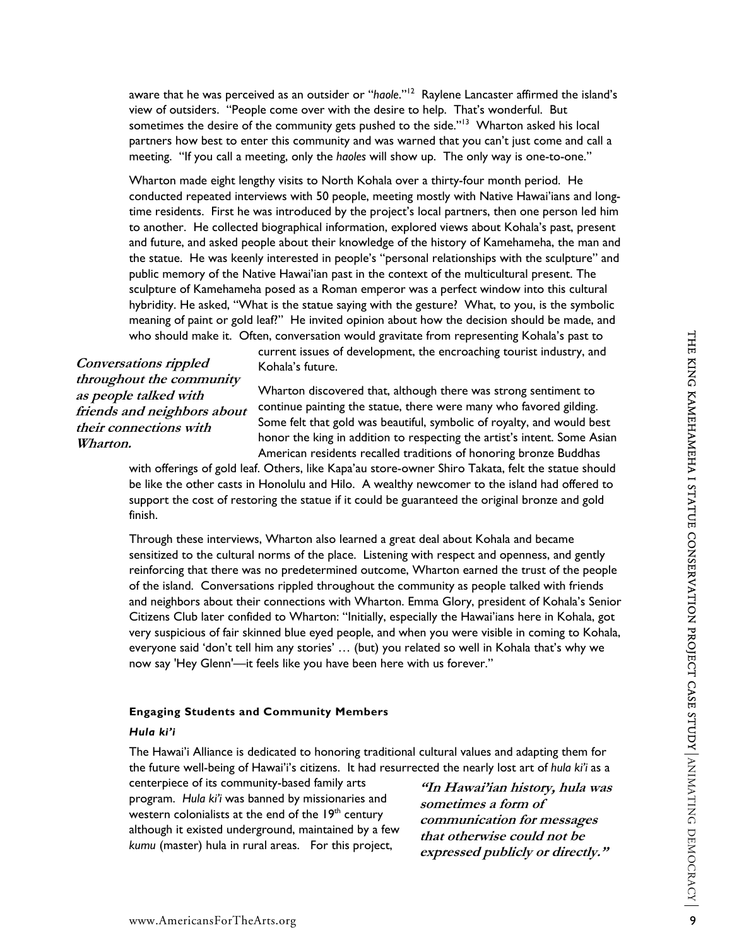aware that he was perceived as an outsider or "*haole*."<sup>12</sup> Raylene Lancaster affirmed the island's view of outsiders. "People come over with the desire to help. That's wonderful. But sometimes the desire of the community gets pushed to the side."<sup>13</sup> Wharton asked his local partners how best to enter this community and was warned that you can't just come and call a meeting. "If you call a meeting, only the *haoles* will show up. The only way is one-to-one."

Wharton made eight lengthy visits to North Kohala over a thirty-four month period. He conducted repeated interviews with 50 people, meeting mostly with Native Hawai'ians and longtime residents. First he was introduced by the project's local partners, then one person led him to another. He collected biographical information, explored views about Kohala's past, present and future, and asked people about their knowledge of the history of Kamehameha, the man and the statue. He was keenly interested in people's "personal relationships with the sculpture" and public memory of the Native Hawai'ian past in the context of the multicultural present. The sculpture of Kamehameha posed as a Roman emperor was a perfect window into this cultural hybridity. He asked, "What is the statue saying with the gesture? What, to you, is the symbolic meaning of paint or gold leaf?" He invited opinion about how the decision should be made, and who should make it. Often, conversation would gravitate from representing Kohala's past to

**Conversations rippled throughout the community as people talked with friends and neighbors about their connections with Wharton.** 

current issues of development, the encroaching tourist industry, and Kohala's future.

Wharton discovered that, although there was strong sentiment to continue painting the statue, there were many who favored gilding. Some felt that gold was beautiful, symbolic of royalty, and would best honor the king in addition to respecting the artist's intent. Some Asian American residents recalled traditions of honoring bronze Buddhas

with offerings of gold leaf. Others, like Kapa'au store-owner Shiro Takata, felt the statue should be like the other casts in Honolulu and Hilo. A wealthy newcomer to the island had offered to support the cost of restoring the statue if it could be guaranteed the original bronze and gold finish.

Through these interviews, Wharton also learned a great deal about Kohala and became sensitized to the cultural norms of the place. Listening with respect and openness, and gently reinforcing that there was no predetermined outcome, Wharton earned the trust of the people of the island. Conversations rippled throughout the community as people talked with friends and neighbors about their connections with Wharton. Emma Glory, president of Kohala's Senior Citizens Club later confided to Wharton: "Initially, especially the Hawai'ians here in Kohala, got very suspicious of fair skinned blue eyed people, and when you were visible in coming to Kohala, everyone said 'don't tell him any stories' … (but) you related so well in Kohala that's why we now say 'Hey Glenn'—it feels like you have been here with us forever."

#### **Engaging Students and Community Members**

#### *Hula ki'i*

The Hawai'i Alliance is dedicated to honoring traditional cultural values and adapting them for the future well-being of Hawai'i's citizens. It had resurrected the nearly lost art of *hula ki'i* as a

centerpiece of its community-based family arts program. *Hula ki'i* was banned by missionaries and western colonialists at the end of the 19<sup>th</sup> century although it existed underground, maintained by a few *kumu* (master) hula in rural areas. For this project,

**"In Hawai'ian history, hula was sometimes a form of communication for messages that otherwise could not be expressed publicly or directly."**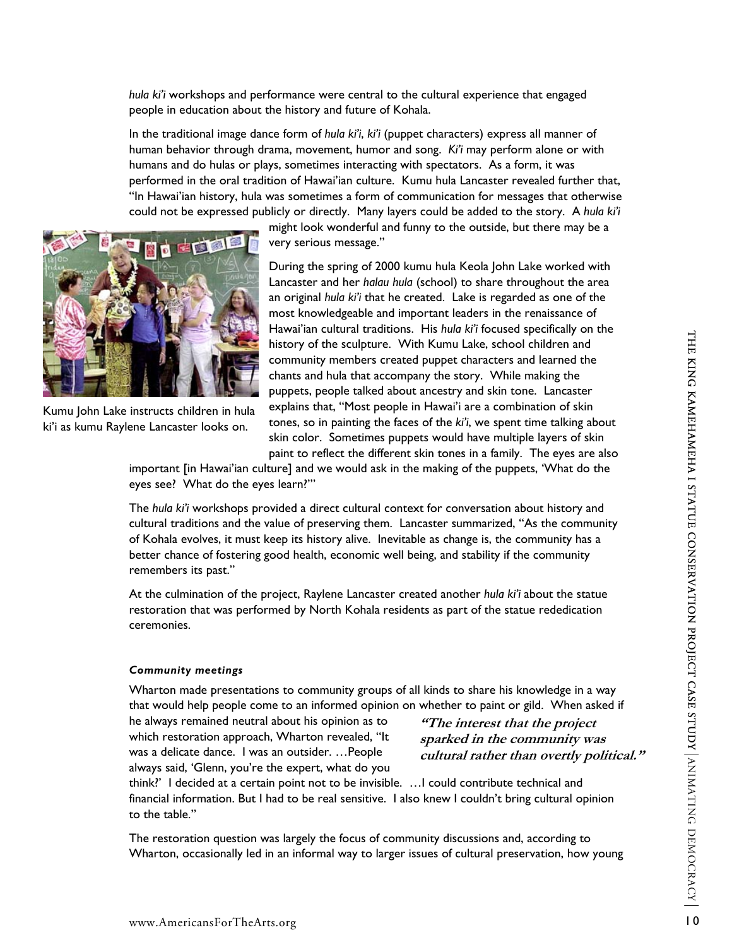*hula ki'i* workshops and performance were central to the cultural experience that engaged people in education about the history and future of Kohala.

In the traditional image dance form of *hula ki'i*, *ki'i* (puppet characters) express all manner of human behavior through drama, movement, humor and song. *Ki'i* may perform alone or with humans and do hulas or plays, sometimes interacting with spectators. As a form, it was performed in the oral tradition of Hawai'ian culture. Kumu hula Lancaster revealed further that, "In Hawai'ian history, hula was sometimes a form of communication for messages that otherwise could not be expressed publicly or directly. Many layers could be added to the story. A *hula ki'i*



Kumu John Lake instructs children in hula ki'i as kumu Raylene Lancaster looks on.

might look wonderful and funny to the outside, but there may be a very serious message."

During the spring of 2000 kumu hula Keola John Lake worked with Lancaster and her *halau hula* (school) to share throughout the area an original *hula ki'i* that he created. Lake is regarded as one of the most knowledgeable and important leaders in the renaissance of Hawai'ian cultural traditions. His *hula ki'i* focused specifically on the history of the sculpture. With Kumu Lake, school children and community members created puppet characters and learned the chants and hula that accompany the story. While making the puppets, people talked about ancestry and skin tone. Lancaster explains that, "Most people in Hawai'i are a combination of skin tones, so in painting the faces of the *ki'i*, we spent time talking about skin color. Sometimes puppets would have multiple layers of skin paint to reflect the different skin tones in a family. The eyes are also

important [in Hawai'ian culture] and we would ask in the making of the puppets, 'What do the eyes see? What do the eyes learn?'"

The *hula ki'i* workshops provided a direct cultural context for conversation about history and cultural traditions and the value of preserving them. Lancaster summarized, "As the community of Kohala evolves, it must keep its history alive. Inevitable as change is, the community has a better chance of fostering good health, economic well being, and stability if the community remembers its past."

At the culmination of the project, Raylene Lancaster created another *hula ki'i* about the statue restoration that was performed by North Kohala residents as part of the statue rededication ceremonies.

#### *Community meetings*

Wharton made presentations to community groups of all kinds to share his knowledge in a way that would help people come to an informed opinion on whether to paint or gild. When asked if

he always remained neutral about his opinion as to which restoration approach, Wharton revealed, "It was a delicate dance. I was an outsider. …People always said, 'Glenn, you're the expert, what do you

**''The interest that the project sparked in the community was cultural rather than overtly political."** 

think?' I decided at a certain point not to be invisible. …I could contribute technical and financial information. But I had to be real sensitive. I also knew I couldn't bring cultural opinion to the table."

The restoration question was largely the focus of community discussions and, according to Wharton, occasionally led in an informal way to larger issues of cultural preservation, how young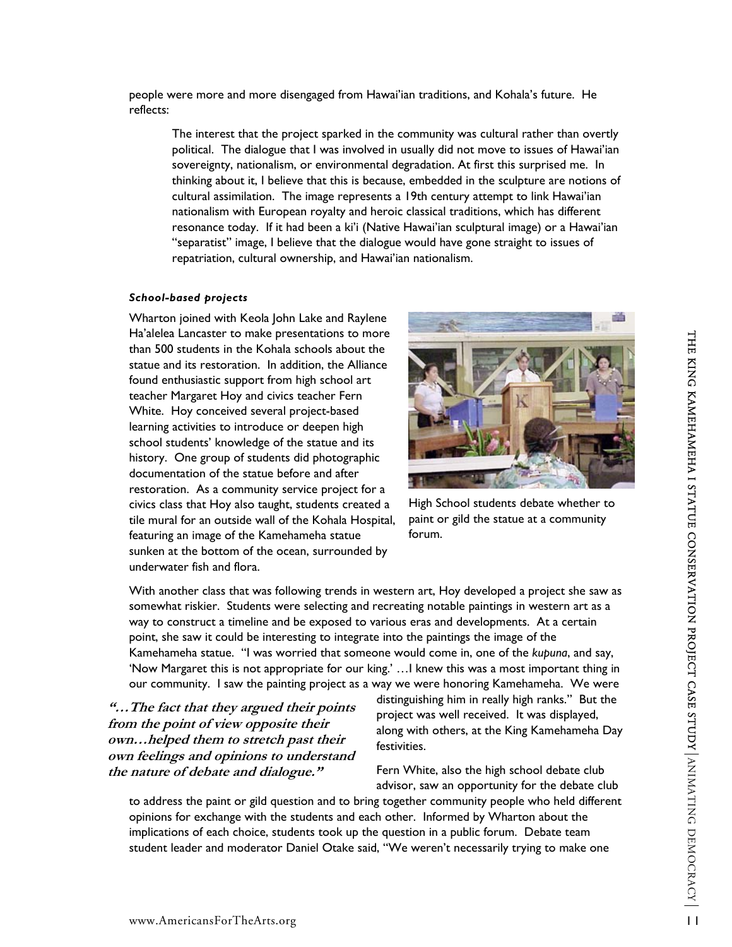people were more and more disengaged from Hawai'ian traditions, and Kohala's future. He reflects:

The interest that the project sparked in the community was cultural rather than overtly political. The dialogue that I was involved in usually did not move to issues of Hawai'ian sovereignty, nationalism, or environmental degradation. At first this surprised me. In thinking about it, I believe that this is because, embedded in the sculpture are notions of cultural assimilation. The image represents a 19th century attempt to link Hawai'ian nationalism with European royalty and heroic classical traditions, which has different resonance today. If it had been a ki'i (Native Hawai'ian sculptural image) or a Hawai'ian "separatist" image, I believe that the dialogue would have gone straight to issues of repatriation, cultural ownership, and Hawai'ian nationalism.

# *School-based projects*

Wharton joined with Keola John Lake and Raylene Ha'alelea Lancaster to make presentations to more than 500 students in the Kohala schools about the statue and its restoration. In addition, the Alliance found enthusiastic support from high school art teacher Margaret Hoy and civics teacher Fern White. Hoy conceived several project-based learning activities to introduce or deepen high school students' knowledge of the statue and its history. One group of students did photographic documentation of the statue before and after restoration. As a community service project for a civics class that Hoy also taught, students created a tile mural for an outside wall of the Kohala Hospital, featuring an image of the Kamehameha statue sunken at the bottom of the ocean, surrounded by underwater fish and flora.



High School students debate whether to paint or gild the statue at a community forum.

With another class that was following trends in western art, Hoy developed a project she saw as somewhat riskier. Students were selecting and recreating notable paintings in western art as a way to construct a timeline and be exposed to various eras and developments. At a certain point, she saw it could be interesting to integrate into the paintings the image of the Kamehameha statue. "I was worried that someone would come in, one of the *kupuna*, and say, 'Now Margaret this is not appropriate for our king.' …I knew this was a most important thing in our community. I saw the painting project as a way we were honoring Kamehameha. We were

**"…The fact that they argued their points from the point of view opposite their own…helped them to stretch past their own feelings and opinions to understand the nature of debate and dialogue."** 

distinguishing him in really high ranks." But the project was well received. It was displayed, along with others, at the King Kamehameha Day festivities.

Fern White, also the high school debate club advisor, saw an opportunity for the debate club

to address the paint or gild question and to bring together community people who held different opinions for exchange with the students and each other. Informed by Wharton about the implications of each choice, students took up the question in a public forum. Debate team student leader and moderator Daniel Otake said, "We weren't necessarily trying to make one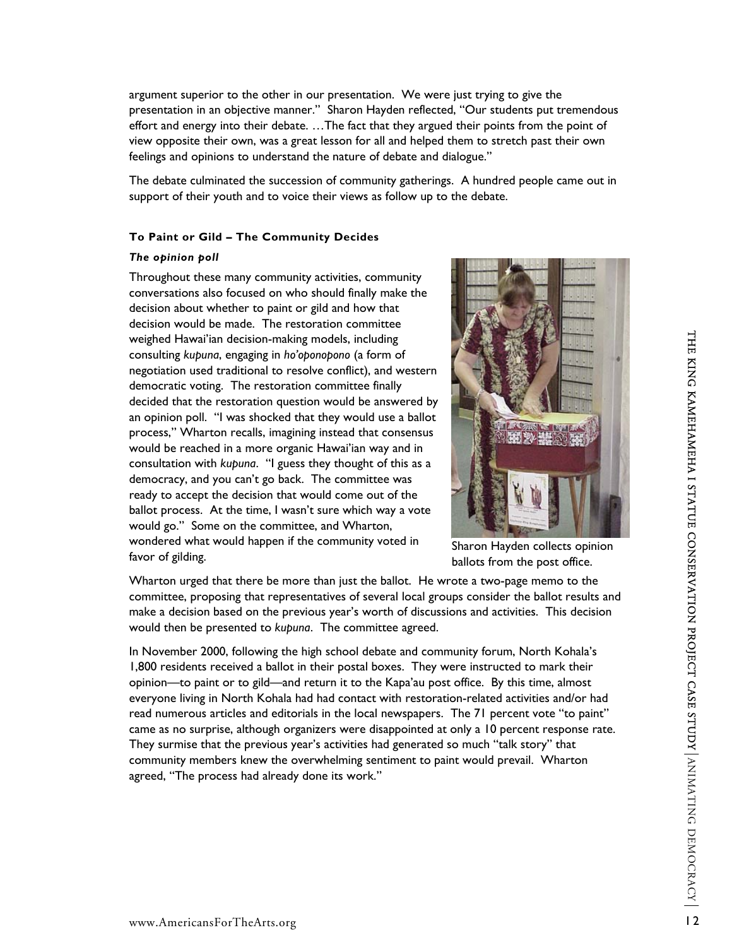argument superior to the other in our presentation. We were just trying to give the presentation in an objective manner." Sharon Hayden reflected, "Our students put tremendous effort and energy into their debate. …The fact that they argued their points from the point of view opposite their own, was a great lesson for all and helped them to stretch past their own feelings and opinions to understand the nature of debate and dialogue."

The debate culminated the succession of community gatherings. A hundred people came out in support of their youth and to voice their views as follow up to the debate.

#### **To Paint or Gild – The Community Decides**

#### *The opinion poll*

Throughout these many community activities, community conversations also focused on who should finally make the decision about whether to paint or gild and how that decision would be made. The restoration committee weighed Hawai'ian decision-making models, including consulting *kupuna*, engaging in *ho'oponopono* (a form of negotiation used traditional to resolve conflict), and western democratic voting. The restoration committee finally decided that the restoration question would be answered by an opinion poll. "I was shocked that they would use a ballot process," Wharton recalls, imagining instead that consensus would be reached in a more organic Hawai'ian way and in consultation with *kupuna*. "I guess they thought of this as a democracy, and you can't go back. The committee was ready to accept the decision that would come out of the ballot process. At the time, I wasn't sure which way a vote would go." Some on the committee, and Wharton, wondered what would happen if the community voted in favor of gilding.



Sharon Hayden collects opinion ballots from the post office.

Wharton urged that there be more than just the ballot. He wrote a two-page memo to the committee, proposing that representatives of several local groups consider the ballot results and make a decision based on the previous year's worth of discussions and activities. This decision would then be presented to *kupuna*. The committee agreed.

In November 2000, following the high school debate and community forum, North Kohala's 1,800 residents received a ballot in their postal boxes. They were instructed to mark their opinion—to paint or to gild—and return it to the Kapa'au post office. By this time, almost everyone living in North Kohala had had contact with restoration-related activities and/or had read numerous articles and editorials in the local newspapers. The 71 percent vote "to paint" came as no surprise, although organizers were disappointed at only a 10 percent response rate. They surmise that the previous year's activities had generated so much "talk story" that community members knew the overwhelming sentiment to paint would prevail. Wharton agreed, "The process had already done its work."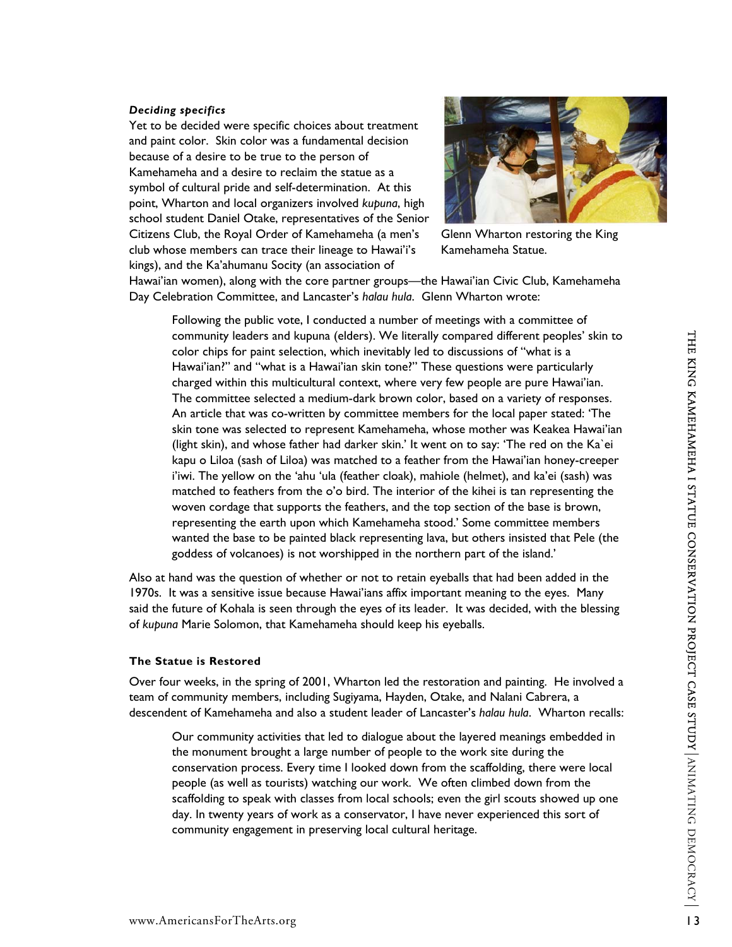#### *Deciding specifics*

Yet to be decided were specific choices about treatment and paint color. Skin color was a fundamental decision because of a desire to be true to the person of Kamehameha and a desire to reclaim the statue as a symbol of cultural pride and self-determination. At this point, Wharton and local organizers involved *kupuna*, high school student Daniel Otake, representatives of the S enior Citizens Club, the Royal Order of Kamehameha (a men's club whose members can trace their lineage to Hawai'i 's kings), and the Ka'ahumanu Socity (an association of



Glenn Wharton restoring the King Kamehameha Statue.

Hawai'ian women), along with the core partner groups—the Hawai'ian Civic Club, Kam ehameha Day Celebration Committee, and Lancaster's *halau hula*. Glenn Wharton wrote:

Following the public vote, I conducted a number of meetings with a committee of community leaders and kupuna (elders). We literally compared different peoples' skin to color chips for paint selection, which inevitably led to discussions of "what is a Hawai'ian?" and "what is a Hawai'ian skin tone?" These questions were particularly charged within this multicultural context, where very few people are pure Hawai'ian. The committee selected a medium-dark brown color, based on a variety of responses. An article that was co-written by committee members for the local paper stated: 'The skin tone was selected to represent Kamehameha, whose mother was Keakea Hawai'ian (light skin), and whose father had darker skin.' It went on to say: 'The red on the Ka`ei kapu o Liloa (sash of Liloa) was matched to a feather from the Hawai'ian honey-creeper i'iwi. The yellow on the 'ahu 'ula (feather cloak), mahiole (helmet), and ka'ei (sash) was matched to feathers from the o'o bird. The interior of the kihei is tan representing the woven cordage that supports the feathers, and the top section of the base is brown, representing the earth upon which Kamehameha stood.' Some committee members wanted the base to be painted black representing lava, but others insisted that Pele (the goddess of volcanoes) is not worshipped in the northern part of the island.'

Also at hand was the question of whether or not to retain eyeballs that had been added in the 1970s. It was a sensitive issue because Hawai'ians affix important meaning to the eyes. Many said the future of Kohala is seen through the eyes of its leader. It was decided, with the blessing of *kupuna* Marie Solomon, that Kamehameha should keep his eyeballs.

#### **The Statue is Restored**

Over four weeks, in the spring of 2001, Wharton led the restoration and painting. He involved a team of community members, including Sugiyama, Hayden, Otake, and Nalani Cabrera, a descendent of Kamehameha and also a student leader of Lancaster's *halau hula*. Wharton recalls:

Our community activities that led to dialogue about the layered meanings embedded in the monument brought a large number of people to the work site during the conservation process. Every time I looked down from the scaffolding, there were local people (as well as tourists) watching our work. We often climbed down from the scaffolding to speak with classes from local schools; even the girl scouts showed up one day. In twenty years of work as a conservator, I have never experienced this sort of community engagement in preserving local cultural heritage.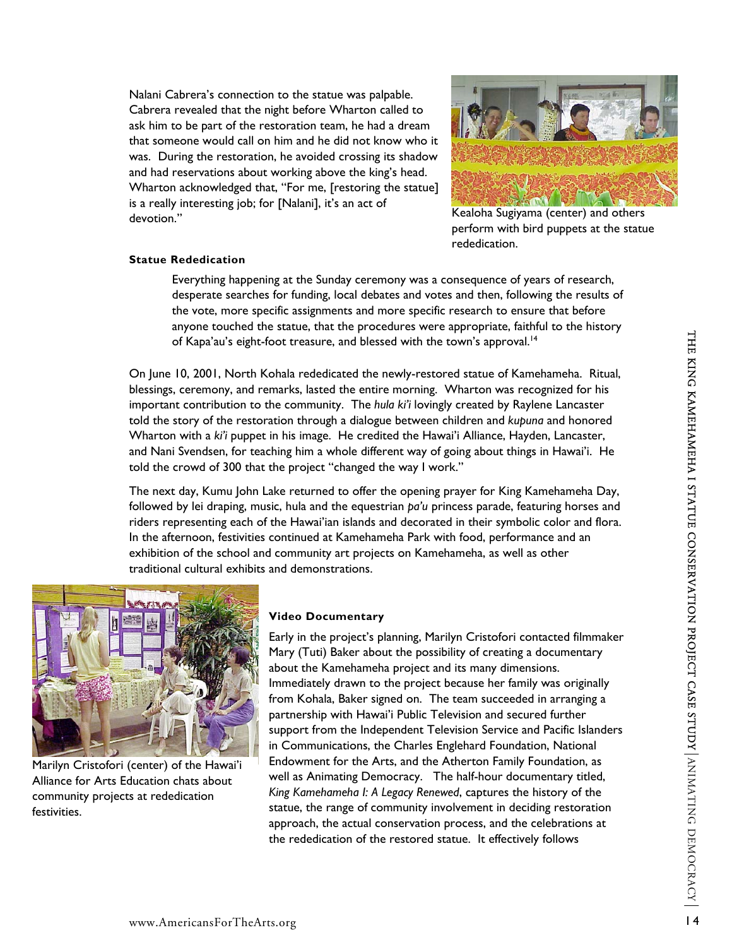Nalani Cabrera's connection to the statue was palpable. Cabrera revealed that the night before Wharton called to ask him to be part of the restoration team, he had a dream that someone would call on him and he did not know who it was. During the restoration, he avoided crossing its shadow and had reservations about working above the king's head. Wharton acknowledged that, "For me, [restoring the statue] is a really interesting job; for [Nalani], it's an act of devotion."



Kealoha Sugiyama (center) and others perform with bird puppets at the statue rededication.

### **Statue Rededication**

Everything happening at the Sunday ceremony was a consequence of years of research, desperate searches for funding, local debates and votes and then, following the results of the vote, more specific assignments and more specific research to ensure that before anyone touched the statue, that the procedures were appropriate, faithful to the history of Kapa'au's eight-foot treasure, and blessed with the town's approval.<sup>14</sup>

On June 10, 2001, North Kohala rededicated the newly-restored statue of Kamehameha. Ritual, blessings, ceremony, and remarks, lasted the entire morning. Wharton was recognized for his important contribution to the community. The *hula ki'i* lovingly created by Raylene Lancaster told the story of the restoration through a dialogue between children and *kupuna* and honored Wharton with a *ki'i* puppet in his image. He credited the Hawai'i Alliance, Hayden, Lancaster, and Nani Svendsen, for teaching him a whole different way of going about things in Hawai'i. He told the crowd of 300 that the project "changed the way I work."

The next day, Kumu John Lake returned to offer the opening prayer for King Kamehameha Day, followed by lei draping, music, hula and the equestrian *pa'u* princess parade, featuring horses and riders representing each of the Hawai'ian islands and decorated in their symbolic color and flora. In the afternoon, festivities continued at Kamehameha Park with food, performance and an exhibition of the school and community art projects on Kamehameha, as well as other traditional cultural exhibits and demonstrations.



Marilyn Cristofori (center) of the Hawai'i Alliance for Arts Education chats about community projects at rededication festivities.

### **Video Documentary**

Early in the project's planning, Marilyn Cristofori contacted filmmaker Mary (Tuti) Baker about the possibility of creating a documentary Endowment for the Arts, and the Atherton Family Foundation, as well as Animating Democracy. The half-hour documentary titled, statue, the range of community involvement in deciding restoration about the Kamehameha project and its many dimensions. Immediately drawn to the project because her family was originally from Kohala, Baker signed on. The team succeeded in arranging a partnership with Hawai'i Public Television and secured further support from the Independent Television Service and Pacific Islanders in Communications, the Charles Englehard Foundation, National *King Kamehameha I: A Legacy Renewed*, captures the history of the approach, the actual conservation process, and the celebrations at the rededication of the restored statue. It effectively follows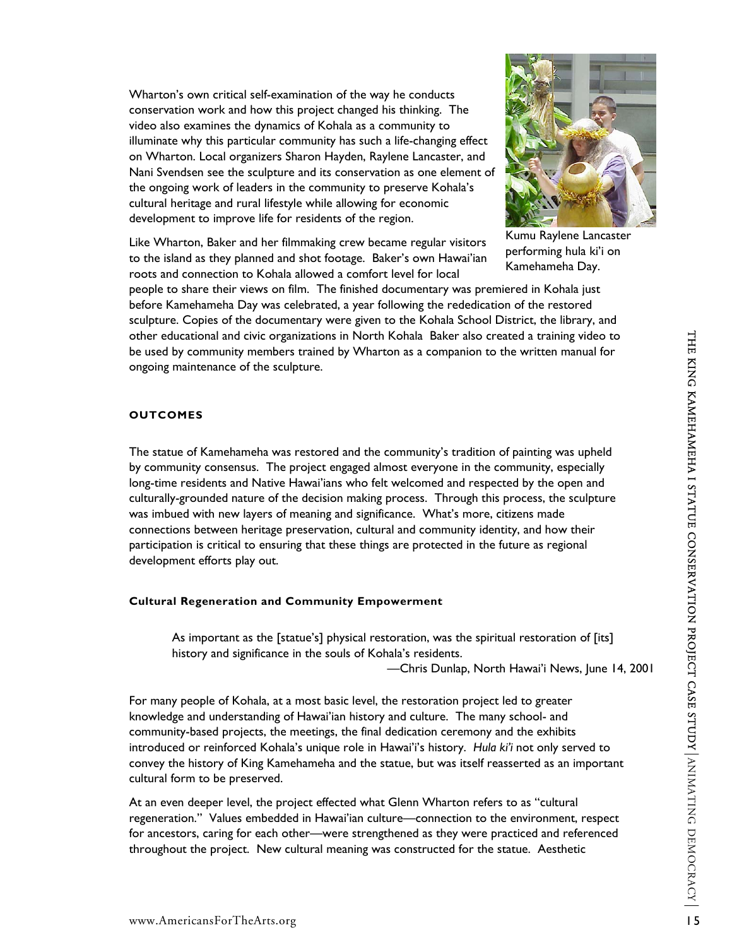Wharton's own critical self-examination of the way he conducts conservation work and how this project changed his thinking. The video also examines the dynamics of Kohala as a community to illuminate why this particular community has such a life-changing effect on Wharton. Local organizers Sharon Hayden, Raylene Lancaster, and Nani Svendsen see the sculpture and its conservation as one element of the ongoing work of leaders in the community to preserve Kohala 's cultural heritage and rural lifestyle while allowing for economic development to improve life for residents of the region.

Like Wharton, Baker and her filmmaking crew became regular visitors to the island as they planned and shot footage. Baker's own Hawai'ian roots and connection to Kohala allowed a comfort level for local



Kumu Raylene Lancaster performing hula ki'i on Kamehameha Day.

people to share their views on film. The finished documentary was premiered in Kohala just before Kamehameha Day was celebrated, a year following the rededication of the restored sculpture. Copies of the documentary were given to the Kohala School District, the library, and other educational and civic organizations in North Kohala Baker also created a training video to be used by community members trained by Wharton as a companion to the written manual for ongoing maintenance of the sculpture.

# **OUTCOMES**

The statue of Kamehameha was restored and the community's tradition of painting was upheld by community consensus. The project engaged almost everyone in the community, especially long-time residents and Native Hawai'ians who felt welcomed and respected by the open and culturally-grounded nature of the decision making process. Through this process, the sculpture was imbued with new layers of meaning and significance. What's more, citizens made connections between heritage preservation, cultural and community identity, and how their participation is critical to ensuring that these things are protected in the future as regional development efforts play out.

### **Cultural Regeneration and Community Empowerment**

As important as the [statue's] physical restoration, was the spiritual restoration of [its] history and significance in the souls of Kohala's residents.

—Chris Dunlap, North Hawai'i News, June 14, 2001

For many people of Kohala, at a most basic level, the restoration project led to greater knowledge and understanding of Hawai'ian history and culture. The many school- and community-based projects, the meetings, the final dedication ceremony and the exhibits introduced or reinforced Kohala's unique role in Hawai'i's history. *Hula ki'i* not only served to convey the history of King Kamehameha and the statue, but was itself reasserted as an important cultural form to be preserved.

At an even deeper level, the project effected what Glenn Wharton refers to as "cultural regeneration." Values embedded in Hawai'ian culture—connection to the environment, respect for ancestors, caring for each other—were strengthened as they were practiced and referenced throughout the project. New cultural meaning was constructed for the statue. Aesthetic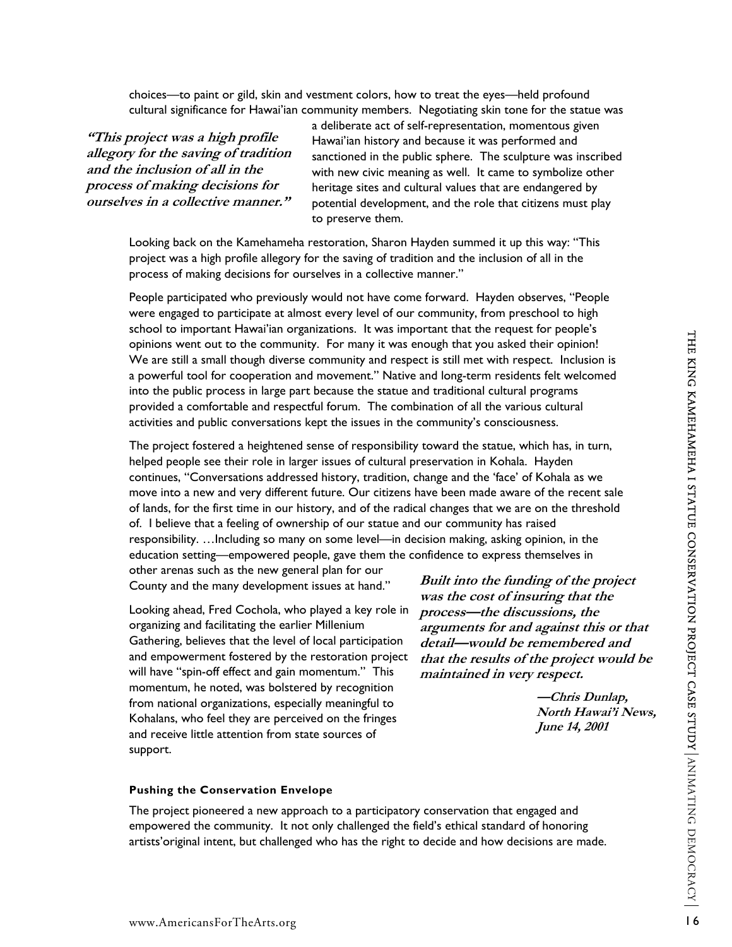choices—to paint or gild, skin and vestment colors, how to treat the eyes—held profound cultural significance for Hawai'ian community members. Negotiating skin tone for the statue was

**"This project was a high profile allegory for the saving of tradition and the inclusion of all in the process of making dec sions for i ourselves in a collective manner."** 

a deliberate act of self-representation, momentous given Hawai'ian history and because it was performed and sanctioned in the public sphere. The sculpture was inscribed with new civic meaning as well. It came to symbolize other heritage sites and cultural values that are endangered by potential development, and the role that citizens must play to preserve them.

Looking back on the Kamehameha restoration, Sharon Hayden summed it up this way: "This project was a high profile allegory for the saving of tradition and the inclusion of all in the process of making decisions for ourselves in a collective manner."

People participated who previously would not have come forward. Hayden observes, "People were engaged to participate at almost every level of our community, from preschool to high school to important Hawai'ian organizations. It was important that the request for people's opinions went out to the community. For many it was enough that you asked their opinion! We are still a small though diverse community and respect is still met with respect. Inclusion is a powerful tool for cooperation and movement." Native and long-term residents felt welcomed into the public process in large part because the statue and traditional cultural programs provided a comfortable and respectful forum. The combination of all the various cultural activities and public conversations kept the issues in the community's consciousness.

The project fostered a heightened sense of responsibility toward the statue, which has, in turn, helped people see their role in larger issues of cultural preservation in Kohala. Hayden continues, "Conversations addressed history, tradition, change and the 'face' of Kohala as we move into a new and very different future. Our citizens have been made aware of the recent sale of lands, for the first time in our history, and of the radical changes that we are on the threshold of. I believe that a feeling of ownership of our statue and our community has raised responsibility. …Including so many on some level—in decision making, asking opinion, in the education setting—empowered people, gave them the confidence to express themselves in other arenas such as the new general plan for our

County and the many development issues at hand."

Looking ahead, Fred Cochola, who played a key role in organizing and facilitating the earlier Millenium Gathering, believes that the level of local participation and empowerment fostered by the restoration project will have "spin-off effect and gain momentum." This momentum, he noted, was bolstered by recognition from national organizations, especially meaningful to Kohalans, who feel they are perceived on the fringes and receive little attention from state sources of support.

Built into the funding of the project **was the cost of insuring that the process—the discussions, the arguments for and against this or that detail—would be remembered and that the results of the project would be maintained in very respect.** 

> **, North Hawai'i News —Chris Dunlap, June 14, 2001**

#### **Pushing the Conservation Envelope**

The project pioneered a new approach to a participatory conservation that engaged and empowered the community. It not only challenged the field's ethical standard of honoring artists'original intent, but challenged who has the right to decide and how decisions are made.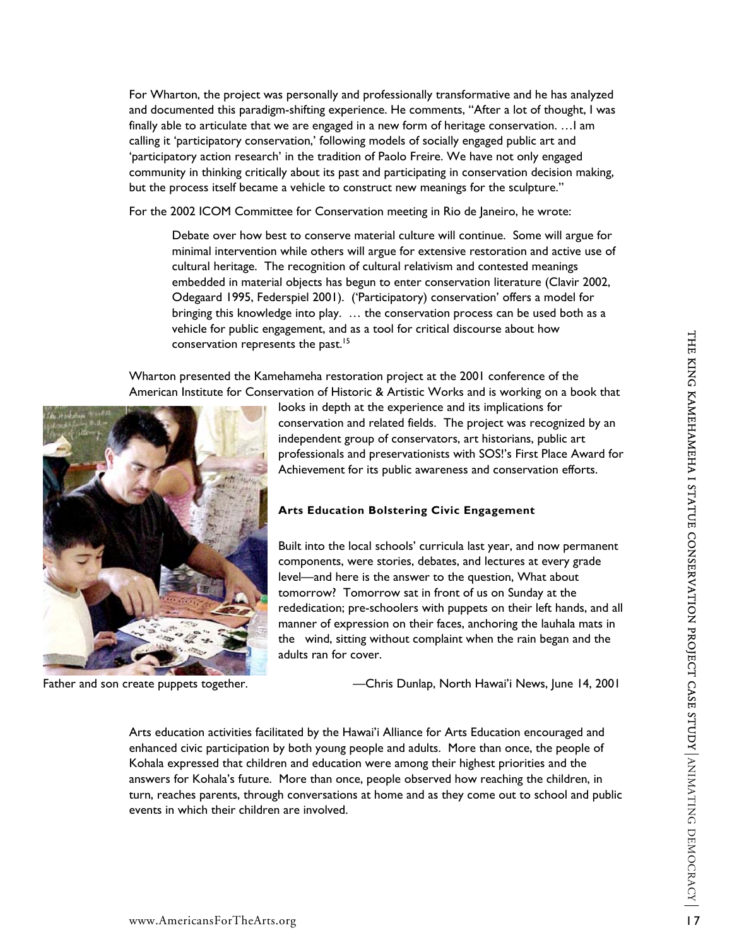For Wharton, the project was personally and professionally transformative and he has analyzed and documented this paradigm-shifting experience. He comments, "After a lot of thought, I was finally able to articulate that we are engaged in a new form of heritage conservation. …I am calling it 'participatory conservation,' following models of socially engaged public art and 'participatory action research' in the tradition of Paolo Freire. We have not only engaged community in thinking critically about its past and participating in conservation decision making, but the process itself became a vehicle to construct new meanings for the sculpture."

For the 2002 ICOM Committee for Conservation meeting in Rio de Janeiro, he wrote:

Debate over how best to conserve material culture will continue. Some will argue for minimal intervention while others will argue for extensive restoration and active use of cultural heritage. The recognition of cultural relativism and contested meanings embedded in material objects has begun to enter conservation literature (Clavir 2002, Odegaard 1995, Federspiel 2001). ('Participatory) conservation' offers a model for bringing this knowledge into play. … the conservation process can be used both as a vehicle for public engagement, and as a tool for critical discourse about how conservation represents the past.<sup>[15](#page-22-14)</sup>

Wharton presented the Kamehameha restoration project at the 2001 conference of the American Institute for Conservation of Historic & Artistic Works and is working on a book that



Father and son create puppets together.

looks in depth at the experience and its implications for conservation and related fields. The project was recognized by an independent group of conservators, art historians, public art professionals and preservationists with SOS!'s First Place Award f or Achievement for its public awareness and conservation efforts.

# **Arts Education Bolstering Civic Engagement**

Built into the local schools' curricula last year, and now permanent components, were stories, debates, and lectures at every grade level—and here is the answer to the question, What about tomorrow? Tomorrow sat in front of us on Sunday at the rededication; pre-schoolers with puppets on their left hands, and all manner of expression on their faces, anchoring the lauhala mats in the wind, sitting without complaint when the rain began and the adults ran for cover.

—Chris Dunlap, North Hawai'i News, June 14, 2001

enhanced civic participation by both young people and adults. More than once, the people of turn, reaches parents, through conversations at home and as they come out to school and public events in which their children are involved. Arts education activities facilitated by the Hawai'i Alliance for Arts Education encouraged and Kohala expressed that children and education were among their highest priorities and the answers for Kohala's future. More than once, people observed how reaching the children, in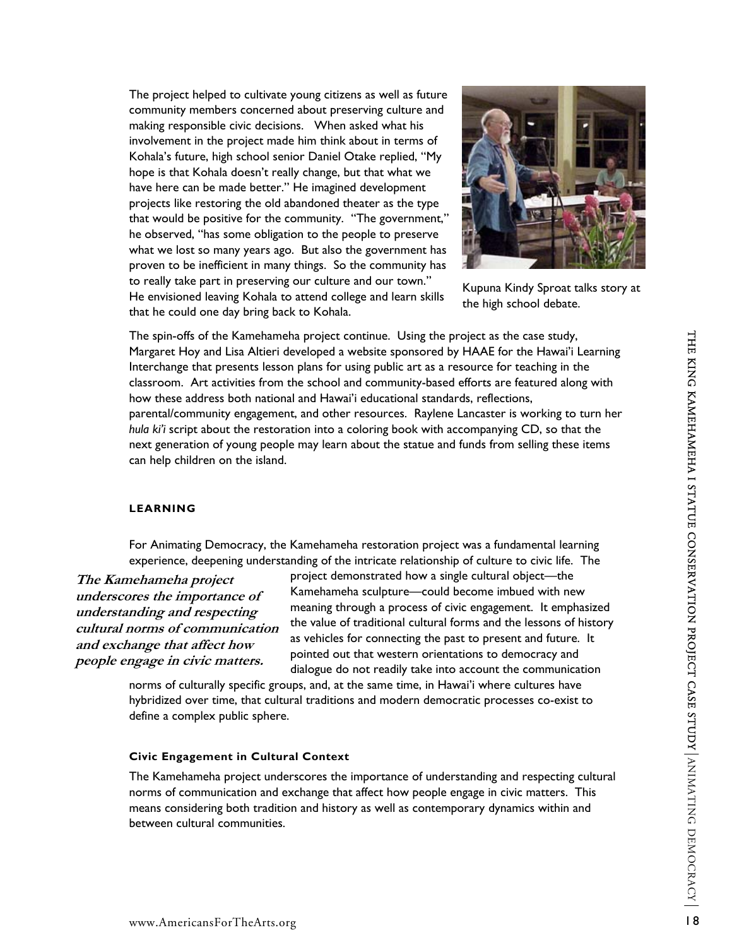The project helped to cultivate young citizens as well as future community members concerned about preserving culture and making responsible civic decisions. When asked what his involvement in the project made him think about in terms of Kohala's future, high school senior Daniel Otake replied, "My hope is that Kohala doesn't really change, but that what we have here can be made better." He imagined development projects like restoring the old abandoned theater as the type that would be positive for the community. "The government," he observed, "has some obligation to the people to preserve what we lost so many years ago. But also the government has proven to be inefficient in many things. So the community has to really take part in preserving our culture and our town." He envisioned leaving Kohala to attend college and learn skills that he could one day bring back to Kohala. The spin-offs of the Kamehameha project continue. Using the project as the case study, Margaret Hoy and Lisa Altieri developed a website sponsored by HAAE for the Hawai'i Learning Interchange that presents lesson plans for using public art as a resource for teaching in the classroom. Art activities from the school and community-based efforts are featured along with

how these address both national and Hawai'i educational standards, reflections, parental/community engagement, and other resources. Raylene Lancaster is working to turn her *hula ki'i* script about the restoration into a coloring book with accompanying CD, so that the next generation of young people may learn about the statue and funds from selling these items can help children on the island.

### **LEARNING**

For Animating Democracy, the Kamehameha restoration project was a fundamental learning experience, deepening understanding of the intricate relationship of culture to civic life. The

**The Kamehameha project underscores the importance of understanding and respecting cultural norms of communication and exchange that affect how people engage in civic matters.** 

project demonstrated how a single cultural object—the Kamehameha sculpture—could become imbued with new meaning through a process of civic engagement. It emphasized the value of traditional cultural forms and the lessons of history as vehicles for connecting the past to present and future. It pointed out that western orientations to democracy and dialogue do not readily take into account the communication

norms of culturally specific groups, and, at the same time, in Hawai'i where cultures have hybridized over time, that cultural traditions and modern democratic processes co-exist to define a complex public sphere.

# **Civic Engagement in Cultural Context**

The Kamehameha project underscores the importance of understanding and respecting cultural norms of communication and exchange that affect how people engage in civic matters. This means considering both tradition and history as well as contemporary dynamics within and between cultural communities.



Kupuna Kindy Sproat talks story at the high school debate.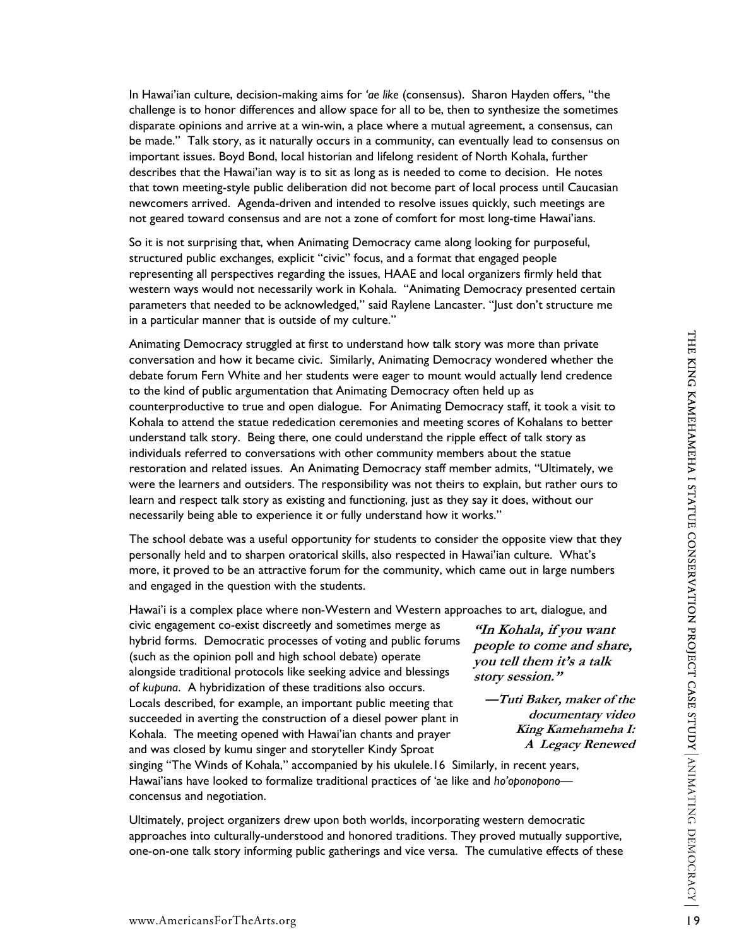In Hawai'ian culture, decision-making aims for *'ae like* (consensus). Sharon Hayden offers, "the challenge is to honor differences and allow space for all to be, then to synthesize the sometimes disparate opinions and arrive at a win-win, a place where a mutual agreement, a consensus, can be made." Talk story, as it naturally occurs in a community, can eventually lead to consensus on important issues. Boyd Bond, local historian and lifelong resident of North Kohala, further describes that the Hawai'ian way is to sit as long as is needed to come to decision. He notes that town meeting-style public deliberation did not become part of local process until Caucasian newcomers arrived. Agenda-driven and intended to resolve issues quickly, such meetings are not geared toward consensus and are not a zone of comfort for most long-time Hawai'ians.

So it is not surprising that, when Animating Democracy came along looking for purposeful, structured public exchanges, explicit "civic" focus, and a format that engaged people representing all perspectives regarding the issues, HAAE and local organizers firmly held that western ways would not necessarily work in Kohala. "Animating Democracy presented certain parameters that needed to be acknowledged," said Raylene Lancaster. "Just don't structure me in a particular manner that is outside of my culture."

Animating Democracy struggled at first to understand how talk story was more than private conversation and how it became civic. Similarly, Animating Democracy wondered whether the debate forum Fern White and her students were eager to mount would actually lend credence to the kind of public argumentation that Animating Democracy often held up as counterproductive to true and open dialogue. For Animating Democracy staff, it took a visit to Kohala to attend the statue rededication ceremonies and meeting scores of Kohalans to better understand talk story. Being there, one could understand the ripple effect of talk story as individuals referred to conversations with other community members about the statue restoration and related issues. An Animating Democracy staff member admits, "Ultimately, we were the learners and outsiders. The responsibility was not theirs to explain, but rather ours to learn and respect talk story as existing and functioning, just as they say it does, without our necessarily being able to experience it or fully understand how it works."

The school debate was a useful opportunity for students to consider the opposite view that they personally held and to sharpen oratorical skills, also respected in Hawai'ian culture. What's more, it proved to be an attractive forum for the community, which came out in large numbers and engaged in the question with the students.

Hawai'i is a complex place where non-Western and Western approaches to art, dialogue, and

civic engagement co-exist discreetly and sometimes merge as hybrid forms. Democratic processes of voting and public forums (such as the opinion poll and high school debate) operate alongside traditional protocols like seeking advice and blessings of *kupuna*. A hybridization of these traditions also occurs. Locals described, for example, an important public meeting that succeeded in averting the construction of a diesel power plant in Kohala. The meeting opened with Hawai'ian chants and prayer and was closed by kumu singer and storyteller Kindy Sproat

**"In Kohala, if you want people to come and share, you tell them it's a talk story session."** 

**—Tuti Baker, maker of the documentary video King Kamehameha I: A Legacy Renewed**

singing "The Winds of Kohala," accompanied by his ukulele[.16](#page-22-15) Similarly, in recent years, Hawai'ians have looked to formalize traditional practices of 'ae like and *ho'oponopono* concensus and negotiation.

Ultimately, project organizers drew upon both worlds, incorporating western democratic approaches into culturally-understood and honored traditions. They proved mutually supportive, one-on-one talk story informing public gatherings and vice versa. The cumulative effects of these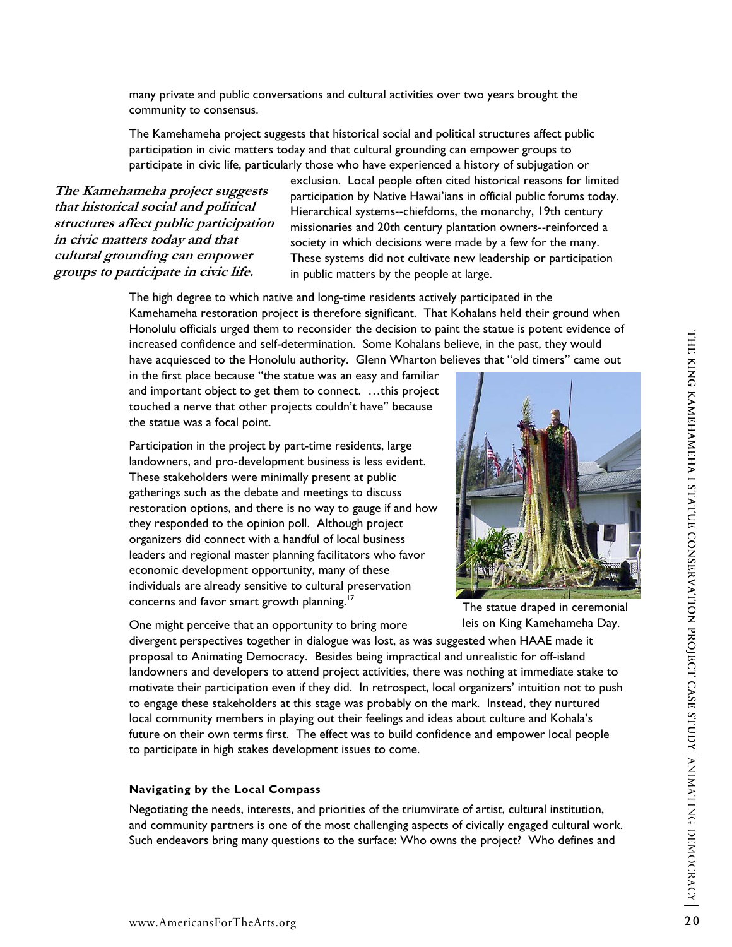many private and public conversations and cultural activities over two years brought the community to consensus.

The Kamehameha project suggests that historical social and political structures affect public participation in civic matters today and that cultural grounding can empower groups to participate in civic life, particularly those who have experienced a history of subjugation or

**The Kamehameha project suggests that historical social and political structures affect public participation in civic matters today and that cultural grounding can empower groups to participate in civic life.** 

exclusion. Local people often cited historical reasons for limited participation by Native Hawai'ians in official public forums today. Hierarchical systems--chiefdoms, the monarchy, 19th century missionaries and 20th century plantation owners--reinforced a society in which decisions were made by a few for the many. These systems did not cultivate new leadership or participation in public matters by the people at large.

The high degree to which native and long-time residents actively participated in the Kamehameha restoration project is therefore significant. That Kohalans held their ground when Honolulu officials urged them to reconsider the decision to paint the statue is potent evidence of increased confidence and self-determination. Some Kohalans believe, in the past, they would have acquiesced to the Honolulu authority. Glenn Wharton believes that "old timers" came out

in the first place because "the statue was an easy and familiar and important object to get them to connect. …this project touched a nerve that other projects couldn't have" because the statue was a focal point.

Participation in the project by part-time residents, large landowners, and pro-development business is less evident. These stakeholders were minimally present at public gatherings such as the debate and meetings to discuss restoration options, and there is no way to gauge if and how they responded to the opinion poll. Although project organizers did connect with a handful of local business leaders and regional master planning facilitators who favor economic development opportunity, many of these individuals are already sensitive to cultural preservation concerns and favor smart growth planning.<sup>17</sup>

One might perceive that an opportunity to bring more

The statue draped in ceremonial leis on King Kamehameha Day.

divergent perspectives together in dialogue was lost, as was suggested when HAAE made it proposal to Animating Democracy. Besides being impractical and unrealistic for off-island landowners and developers to attend project activities, there was nothing at immediate stake to motivate their participation even if they did. In retrospect, local organizers' intuition not to push to engage these stakeholders at this stage was probably on the mark. Instead, they nurtured local community members in playing out their feelings and ideas about culture and Kohala's future on their own terms first. The effect was to build confidence and empower local people to participate in high stakes development issues to come.

#### **Navigating by the Local Compass**

Negotiating the needs, interests, and priorities of the triumvirate of artist, cultural institution, and community partners is one of the most challenging aspects of civically engaged cultural work. Such endeavors bring many questions to the surface: Who owns the project? Who defines and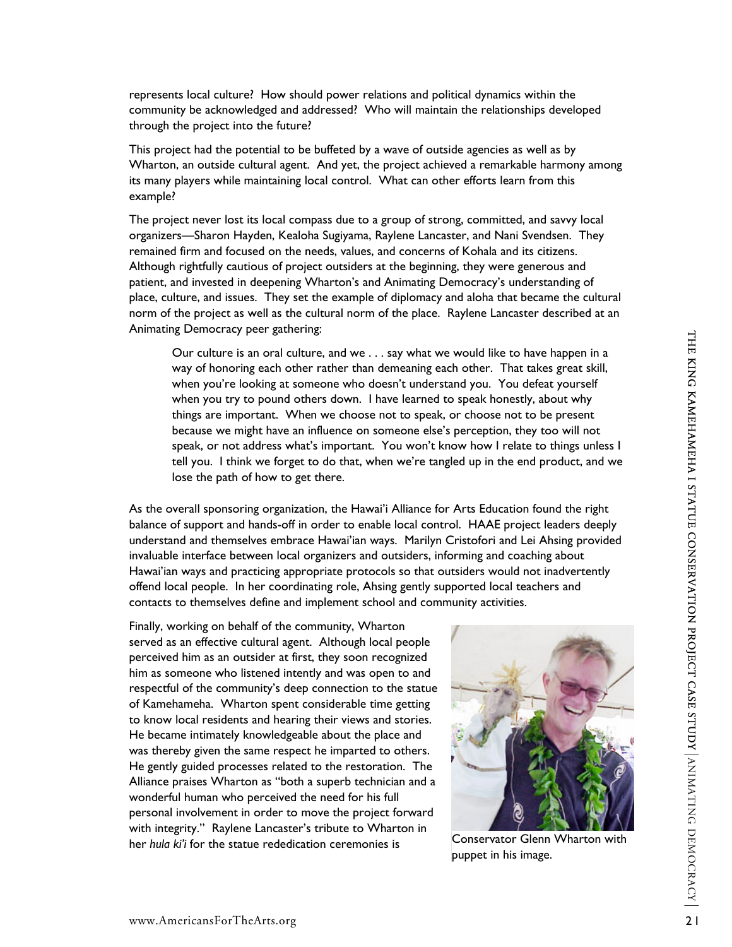represents local culture? How should power relations and political dynamics within the community be acknowledged and addressed? Who will maintain the relationships developed through the project into the future?

This project had the potential to be buffeted by a wave of outside agencies as well as by Wharton, an outside cultural agent. And yet, the project achieved a remarkable harmony among its many players while maintaining local control. What can other efforts learn from this example?

The project never lost its local compass due to a group of strong, committed, and savvy local organizers—Sharon Hayden, Kealoha Sugiyama, Raylene Lancaster, and Nani Svendsen. They remained firm and focused on the needs, values, and concerns of Kohala and its citizens. Although rightfully cautious of project outsiders at the beginning, they were generous and patient, and invested in deepening Wharton's and Animating Democracy's understanding of place, culture, and issues. They set the example of diplomacy and aloha that became the cultural norm of the project as well as the cultural norm of the place. Raylene Lancaster described at an Animating Democracy peer gathering:

Our culture is an oral culture, and we . . . say what we would like to have happen in a way of honoring each other rather than demeaning each other. That takes great skill, when you're looking at someone who doesn't understand you. You defeat yourself when you try to pound others down. I have learned to speak honestly, about why things are important. When we choose not to speak, or choose not to be present because we might have an influence on someone else's perception, they too will not speak, or not address what's important. You won't know how I relate to things unless I tell you. I think we forget to do that, when we're tangled up in the end product, and we lose the path of how to get there.

As the overall sponsoring organization, the Hawai'i Alliance for Arts Education found the right balance of support and hands-off in order to enable local control. HAAE project leaders deeply understand and themselves embrace Hawai'ian ways. Marilyn Cristofori and Lei Ahsing provided invaluable interface between local organizers and outsiders, informing and coaching about Hawai'ian ways and practicing appropriate protocols so that outsiders would not inadvertently offend local people. In her coordinating role, Ahsing gently supported local teachers and contacts to themselves define and implement school and community activities.

Finally, working on behalf of the community, Wharton served as an effective cultural agent. Although local people perceived him as an outsider at first, they soon recognized him as someone who listened intently and was open to and respectful of the community's deep connection to the statue of Kamehameha. Wharton spent considerable time getting to know local residents and hearing their views and stories. He became intimately knowledgeable about the place and was thereby given the same respect he imparted to others. He gently guided processes related to the restoration. The Alliance praises Wharton as "both a superb technician and a wonderful human who perceived the need for his full personal involvement in order to move the project forward with integrity." Raylene Lancaster's tribute to Wharton in her *hula ki'i* for the statue rededication ceremonies is Conservator Glenn Wharton with



puppet in his image.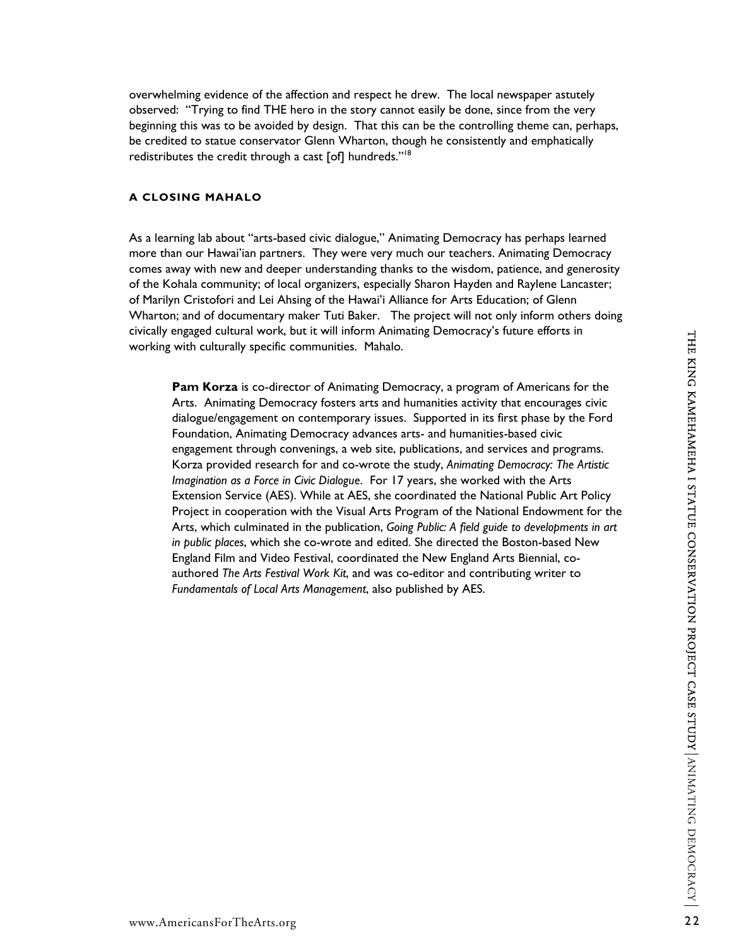overwhelming evidence of the affection and respect he drew. The local newspaper astutely observed: "Trying to find THE hero in the story cannot easily be done, since from the very beginning this was to be avoided by design. That this can be the controlling theme can, perhaps, be credited to statue conservator Glenn Wharton, though he consistently and emphatically redistributes the credit through a cast [of] hundreds."[18](#page-22-17)

### **A CLOSING MAHALO**

As a learning lab about "arts-based civic dialogue," Animating Democracy has perhaps learned more than our Hawai'ian partners. They were very much our teachers. Animating Democracy comes away with new and deeper understanding thanks to the wisdom, patience, and generosity of the Kohala community; of local organizers, especially Sharon Hayden and Raylene Lancaster; of Marilyn Cristofori and Lei Ahsing of the Hawai'i Alliance for Arts Education; of Glenn Wharton; and of documentary maker Tuti Baker. The project will not only inform others doing civically engaged cultural work, but it will inform Animating Democracy's future efforts in working with culturally specific communities. Mahalo.

**Pam Korza** is co-director of Animating Democracy, a program of Americans for the Arts. Animating Democracy fosters arts and humanities activity that encourages civic dialogue/engagement on contemporary issues. Supported in its first phase by the Ford Foundation, Animating Democracy advances arts- and humanities-based civic engagement through convenings, a web site, publications, and services and programs. Korza provided research for and co-wrote the study, *Animating Democracy: The Artistic Imagination as a Force in Civic Dialogue*. For 17 years, she worked with the Arts Extension Service (AES). While at AES, she coordinated the National Public Art Policy Project in cooperation with the Visual Arts Program of the National Endowment for the Arts, which culminated in the publication, *Going Public: A field guide to developments in art in public places*, which she co-wrote and edited. She directed the Boston-based New England Film and Video Festival, coordinated the New England Arts Biennial, coauthored *The Arts Festival Work Kit*, and was co-editor and contributing writer to *Fundamentals of Local Arts Management*, also published by AES.